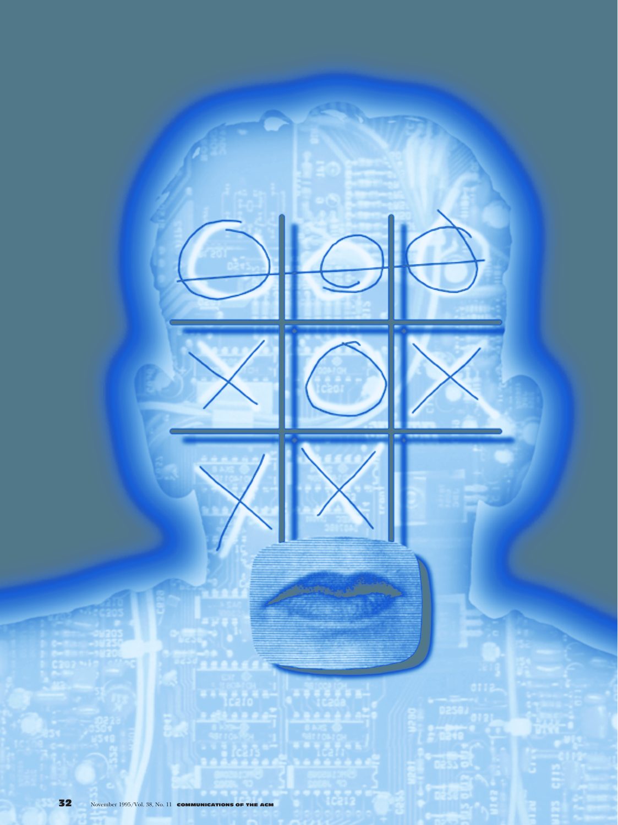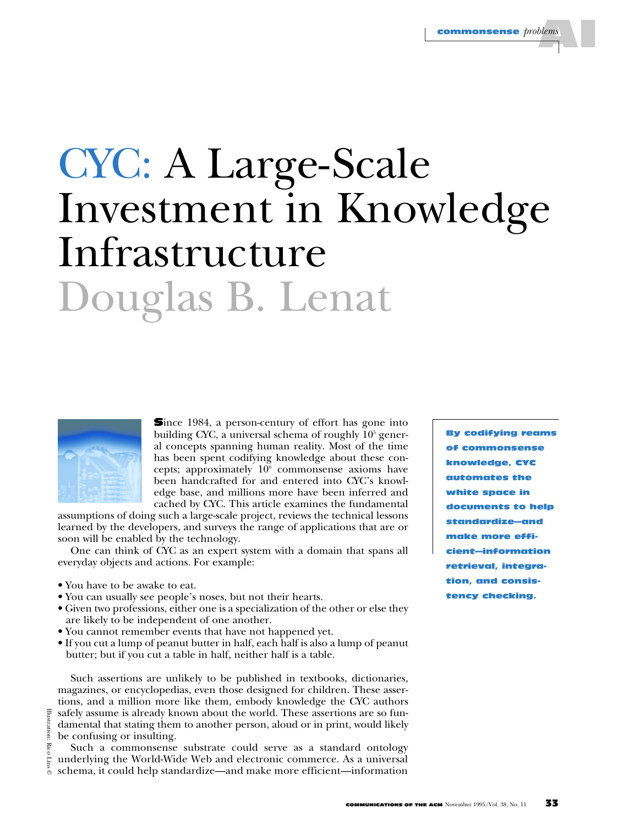# CYC: A Large-Scale Investment in Knowledge Infrastructure Douglas B. Lenat



Since 1984, a person-century of effort has gone into building CYC, a universal schema of roughly  $10<sup>5</sup>$  general concepts spanning human reality. Most of the time has been spent codifying knowledge about these concepts; approximately  $10<sup>6</sup>$  commonsense axioms have been handcrafted for and entered into CYC's knowledge base, and millions more have been inferred and cached by CYC. This article examines the fundamental

assumptions of doing such a large-scale project, reviews the technical lessons learned by the developers, and surveys the range of applications that are or soon will be enabled by the technology.

One can think of CYC as an expert system with a domain that spans all everyday objects and actions. For example:

- You have to be awake to eat.
- You can usually see people's noses, but not their hearts.
- Given two professions, either one is a specialization of the other or else they are likely to be independent of one another.
- You cannot remember events that have not happened yet.
- If you cut a lump of peanut butter in half, each half is also a lump of peanut butter; but if you cut a table in half, neither half is a table.

Such assertions are unlikely to be published in textbooks, dictionaries, magazines, or encyclopedias, even those designed for children. These assertions, and a million more like them, embody knowledge the CYC authors safely assume is already known about the world. These assertions are so fundamental that stating them to another person, aloud or in print, would likely be confusing or insulting.

Such a commonsense substrate could serve as a standard ontology underlying the World-Wide Web and electronic commerce. As a universal schema, it could help standardize—and make more efficient—information By codifying reams of commonsense knowledge, CYC automates the white space in documents to help standardize—and make more efficient—information retrieval, integration, and consistency checking.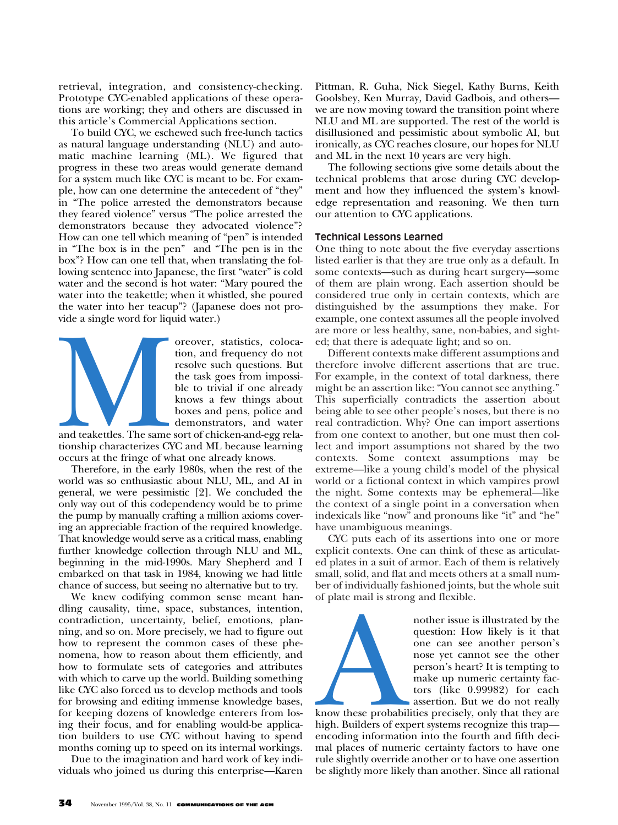retrieval, integration, and consistency-checking. Prototype CYC-enabled applications of these operations are working; they and others are discussed in this article's Commercial Applications section.

To build CYC, we eschewed such free-lunch tactics as natural language understanding (NLU) and automatic machine learning (ML). We figured that progress in these two areas would generate demand for a system much like CYC is meant to be. For example, how can one determine the antecedent of "they" in "The police arrested the demonstrators because they feared violence" versus "The police arrested the demonstrators because they advocated violence"? How can one tell which meaning of "pen" is intended in "The box is in the pen" and "The pen is in the box"? How can one tell that, when translating the following sentence into Japanese, the first "water" is cold water and the second is hot water: "Mary poured the water into the teakettle; when it whistled, she poured the water into her teacup"? (Japanese does not provide a single word for liquid water.)



oreover, statistics, coloca-<br>tion, and frequency do not<br>resolve such questions. But<br>the task goes from impossi-<br>ble to trivial if one already<br>knows a few things about<br>boxes and pens, police and<br>demonstrators, and water<br>and tion, and frequency do not resolve such questions. But the task goes from impossible to trivial if one already knows a few things about boxes and pens, police and demonstrators, and water

and teakettles. The same sort of chicken-and-egg relationship characterizes CYC and ML because learning occurs at the fringe of what one already knows.

Therefore, in the early 1980s, when the rest of the world was so enthusiastic about NLU, ML, and AI in general, we were pessimistic [2]. We concluded the only way out of this codependency would be to prime the pump by manually crafting a million axioms covering an appreciable fraction of the required knowledge. That knowledge would serve as a critical mass, enabling further knowledge collection through NLU and ML, beginning in the mid-1990s. Mary Shepherd and I embarked on that task in 1984, knowing we had little chance of success, but seeing no alternative but to try.

We knew codifying common sense meant handling causality, time, space, substances, intention, contradiction, uncertainty, belief, emotions, planning, and so on. More precisely, we had to figure out how to represent the common cases of these phenomena, how to reason about them efficiently, and how to formulate sets of categories and attributes with which to carve up the world. Building something like CYC also forced us to develop methods and tools for browsing and editing immense knowledge bases, for keeping dozens of knowledge enterers from losing their focus, and for enabling would-be application builders to use CYC without having to spend months coming up to speed on its internal workings.

Due to the imagination and hard work of key individuals who joined us during this enterprise—Karen Pittman, R. Guha, Nick Siegel, Kathy Burns, Keith Goolsbey, Ken Murray, David Gadbois, and others we are now moving toward the transition point where NLU and ML are supported. The rest of the world is disillusioned and pessimistic about symbolic AI, but ironically, as CYC reaches closure, our hopes for NLU and ML in the next 10 years are very high.

The following sections give some details about the technical problems that arose during CYC development and how they influenced the system's knowledge representation and reasoning. We then turn our attention to CYC applications.

## **Technical Lessons Learned**

One thing to note about the five everyday assertions listed earlier is that they are true only as a default. In some contexts—such as during heart surgery—some of them are plain wrong. Each assertion should be considered true only in certain contexts, which are distinguished by the assumptions they make. For example, one context assumes all the people involved are more or less healthy, sane, non-babies, and sighted; that there is adequate light; and so on.

Different contexts make different assumptions and therefore involve different assertions that are true. For example, in the context of total darkness, there might be an assertion like: "You cannot see anything." This superficially contradicts the assertion about being able to see other people's noses, but there is no real contradiction. Why? One can import assertions from one context to another, but one must then collect and import assumptions not shared by the two contexts. Some context assumptions may be extreme—like a young child's model of the physical world or a fictional context in which vampires prowl the night. Some contexts may be ephemeral—like the context of a single point in a conversation when indexicals like "now" and pronouns like "it" and "he" have unambiguous meanings.

CYC puts each of its assertions into one or more explicit contexts. One can think of these as articulated plates in a suit of armor. Each of them is relatively small, solid, and flat and meets others at a small number of individually fashioned joints, but the whole suit of plate mail is strong and flexible.



nother issue is illustrated by the<br>question: How likely is it that<br>one can see another person's<br>nose yet cannot see the other<br>person's heart? It is tempting to<br>make up numeric certainty fac-<br>tors (like 0.99982) for each<br>as question: How likely is it that one can see another person's nose yet cannot see the other person's heart? It is tempting to make up numeric certainty factors (like 0.99982) for each assertion. But we do not really

know these probabilities precisely, only that they are high. Builders of expert systems recognize this trap encoding information into the fourth and fifth decimal places of numeric certainty factors to have one rule slightly override another or to have one assertion be slightly more likely than another. Since all rational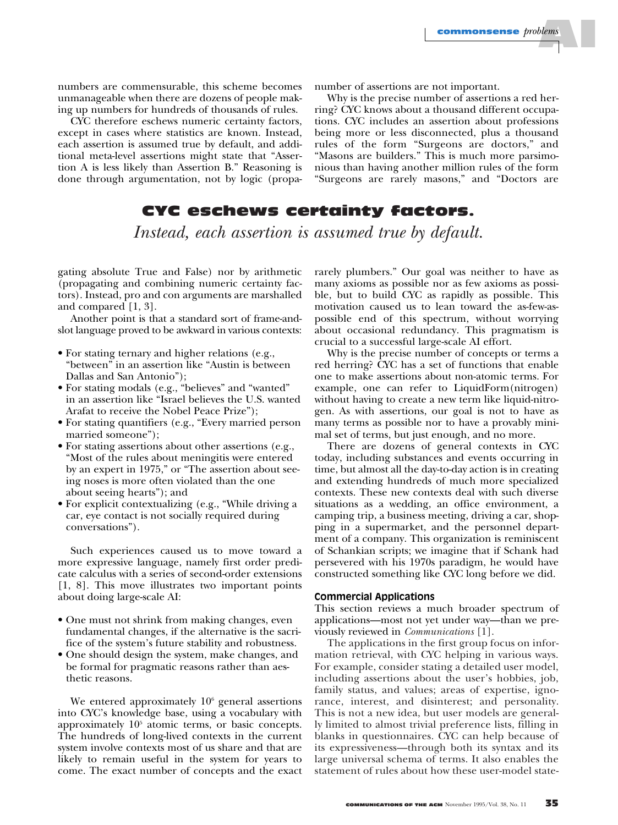numbers are commensurable, this scheme becomes unmanageable when there are dozens of people making up numbers for hundreds of thousands of rules.

CYC therefore eschews numeric certainty factors, except in cases where statistics are known. Instead, each assertion is assumed true by default, and additional meta-level assertions might state that "Assertion A is less likely than Assertion B." Reasoning is done through argumentation, not by logic (propanumber of assertions are not important.

Why is the precise number of assertions a red herring? CYC knows about a thousand different occupations. CYC includes an assertion about professions being more or less disconnected, plus a thousand rules of the form "Surgeons are doctors," and "Masons are builders." This is much more parsimonious than having another million rules of the form "Surgeons are rarely masons," and "Doctors are

## CYC eschews certainty factors.

*Instead, each assertion is assumed true by default.*

gating absolute True and False) nor by arithmetic (propagating and combining numeric certainty factors). Instead, pro and con arguments are marshalled and compared [1, 3].

Another point is that a standard sort of frame-andslot language proved to be awkward in various contexts:

- For stating ternary and higher relations (e.g., "between" in an assertion like "Austin is between Dallas and San Antonio");
- For stating modals (e.g., "believes" and "wanted" in an assertion like "Israel believes the U.S. wanted Arafat to receive the Nobel Peace Prize");
- For stating quantifiers (e.g., "Every married person married someone");
- For stating assertions about other assertions (e.g., "Most of the rules about meningitis were entered by an expert in 1975," or "The assertion about seeing noses is more often violated than the one about seeing hearts"); and
- For explicit contextualizing (e.g., "While driving a car, eye contact is not socially required during conversations").

Such experiences caused us to move toward a more expressive language, namely first order predicate calculus with a series of second-order extensions [1, 8]. This move illustrates two important points about doing large-scale AI:

- One must not shrink from making changes, even fundamental changes, if the alternative is the sacrifice of the system's future stability and robustness.
- One should design the system, make changes, and be formal for pragmatic reasons rather than aesthetic reasons.

We entered approximately  $10<sup>6</sup>$  general assertions into CYC's knowledge base, using a vocabulary with approximately  $10<sup>5</sup>$  atomic terms, or basic concepts. The hundreds of long-lived contexts in the current system involve contexts most of us share and that are likely to remain useful in the system for years to come. The exact number of concepts and the exact

rarely plumbers." Our goal was neither to have as many axioms as possible nor as few axioms as possible, but to build CYC as rapidly as possible. This motivation caused us to lean toward the as-few-aspossible end of this spectrum, without worrying about occasional redundancy. This pragmatism is crucial to a successful large-scale AI effort.

Why is the precise number of concepts or terms a red herring? CYC has a set of functions that enable one to make assertions about non-atomic terms. For example, one can refer to LiquidForm(nitrogen) without having to create a new term like liquid-nitrogen. As with assertions, our goal is not to have as many terms as possible nor to have a provably minimal set of terms, but just enough, and no more.

There are dozens of general contexts in CYC today, including substances and events occurring in time, but almost all the day-to-day action is in creating and extending hundreds of much more specialized contexts. These new contexts deal with such diverse situations as a wedding, an office environment, a camping trip, a business meeting, driving a car, shopping in a supermarket, and the personnel department of a company. This organization is reminiscent of Schankian scripts; we imagine that if Schank had persevered with his 1970s paradigm, he would have constructed something like CYC long before we did.

## **Commercial Applications**

This section reviews a much broader spectrum of applications—most not yet under way—than we previously reviewed in *Communications* [1].

The applications in the first group focus on information retrieval, with CYC helping in various ways. For example, consider stating a detailed user model, including assertions about the user's hobbies, job, family status, and values; areas of expertise, ignorance, interest, and disinterest; and personality. This is not a new idea, but user models are generally limited to almost trivial preference lists, filling in blanks in questionnaires. CYC can help because of its expressiveness—through both its syntax and its large universal schema of terms. It also enables the statement of rules about how these user-model state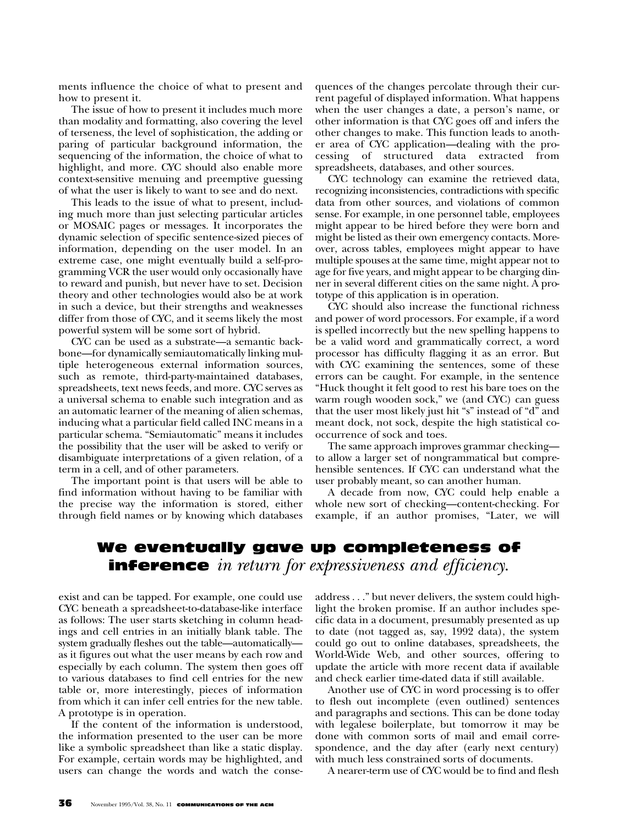ments influence the choice of what to present and how to present it.

The issue of how to present it includes much more than modality and formatting, also covering the level of terseness, the level of sophistication, the adding or paring of particular background information, the sequencing of the information, the choice of what to highlight, and more. CYC should also enable more context-sensitive menuing and preemptive guessing of what the user is likely to want to see and do next.

This leads to the issue of what to present, including much more than just selecting particular articles or MOSAIC pages or messages. It incorporates the dynamic selection of specific sentence-sized pieces of information, depending on the user model. In an extreme case, one might eventually build a self-programming VCR the user would only occasionally have to reward and punish, but never have to set. Decision theory and other technologies would also be at work in such a device, but their strengths and weaknesses differ from those of CYC, and it seems likely the most powerful system will be some sort of hybrid.

CYC can be used as a substrate—a semantic backbone—for dynamically semiautomatically linking multiple heterogeneous external information sources, such as remote, third-party-maintained databases, spreadsheets, text news feeds, and more. CYC serves as a universal schema to enable such integration and as an automatic learner of the meaning of alien schemas, inducing what a particular field called INC means in a particular schema. "Semiautomatic" means it includes the possibility that the user will be asked to verify or disambiguate interpretations of a given relation, of a term in a cell, and of other parameters.

The important point is that users will be able to find information without having to be familiar with the precise way the information is stored, either through field names or by knowing which databases

quences of the changes percolate through their current pageful of displayed information. What happens when the user changes a date, a person's name, or other information is that CYC goes off and infers the other changes to make. This function leads to another area of CYC application—dealing with the processing of structured data extracted from spreadsheets, databases, and other sources.

CYC technology can examine the retrieved data, recognizing inconsistencies, contradictions with specific data from other sources, and violations of common sense. For example, in one personnel table, employees might appear to be hired before they were born and might be listed as their own emergency contacts. Moreover, across tables, employees might appear to have multiple spouses at the same time, might appear not to age for five years, and might appear to be charging dinner in several different cities on the same night. A prototype of this application is in operation.

CYC should also increase the functional richness and power of word processors. For example, if a word is spelled incorrectly but the new spelling happens to be a valid word and grammatically correct, a word processor has difficulty flagging it as an error. But with CYC examining the sentences, some of these errors can be caught. For example, in the sentence "Huck thought it felt good to rest his bare toes on the warm rough wooden sock," we (and CYC) can guess that the user most likely just hit "s" instead of "d" and meant dock, not sock, despite the high statistical cooccurrence of sock and toes.

The same approach improves grammar checking to allow a larger set of nongrammatical but comprehensible sentences. If CYC can understand what the user probably meant, so can another human.

A decade from now, CYC could help enable a whole new sort of checking—content-checking. For example, if an author promises, "Later, we will

## We eventually gave up completeness of inference *in return for expressiveness and efficiency.*

exist and can be tapped. For example, one could use CYC beneath a spreadsheet-to-database-like interface as follows: The user starts sketching in column headings and cell entries in an initially blank table. The system gradually fleshes out the table—automatically as it figures out what the user means by each row and especially by each column. The system then goes off to various databases to find cell entries for the new table or, more interestingly, pieces of information from which it can infer cell entries for the new table. A prototype is in operation.

If the content of the information is understood, the information presented to the user can be more like a symbolic spreadsheet than like a static display. For example, certain words may be highlighted, and users can change the words and watch the conse-

address . . ." but never delivers, the system could highlight the broken promise. If an author includes specific data in a document, presumably presented as up to date (not tagged as, say, 1992 data), the system could go out to online databases, spreadsheets, the World-Wide Web, and other sources, offering to update the article with more recent data if available and check earlier time-dated data if still available.

Another use of CYC in word processing is to offer to flesh out incomplete (even outlined) sentences and paragraphs and sections. This can be done today with legalese boilerplate, but tomorrow it may be done with common sorts of mail and email correspondence, and the day after (early next century) with much less constrained sorts of documents.

A nearer-term use of CYC would be to find and flesh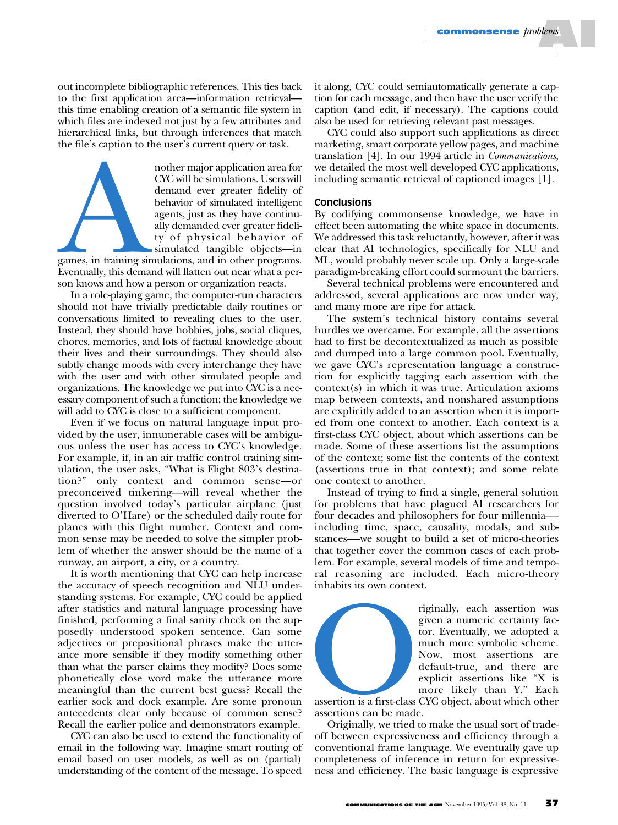out incomplete bibliographic references. This ties back to the first application area—information retrieval this time enabling creation of a semantic file system in which files are indexed not just by a few attributes and hierarchical links, but through inferences that match the file's caption to the user's current query or task.

mother major application area for<br>CYC will be simulations. Users will<br>demand ever greater fidelity of<br>behavior of simulated intelligent<br>agents, just as they have continu-<br>ally demanded ever greater fideli-<br>ty of physical b CYC will be simulations. Users will demand ever greater fidelity of behavior of simulated intelligent agents, just as they have continually demanded ever greater fidelity of physical behavior of simulated tangible objects—in

games, in training simulations, and in other programs. Eventually, this demand will flatten out near what a person knows and how a person or organization reacts.

In a role-playing game, the computer-run characters should not have trivially predictable daily routines or conversations limited to revealing clues to the user. Instead, they should have hobbies, jobs, social cliques, chores, memories, and lots of factual knowledge about their lives and their surroundings. They should also subtly change moods with every interchange they have with the user and with other simulated people and organizations. The knowledge we put into CYC is a necessary component of such a function; the knowledge we will add to CYC is close to a sufficient component.

Even if we focus on natural language input provided by the user, innumerable cases will be ambiguous unless the user has access to CYC's knowledge. For example, if, in an air traffic control training simulation, the user asks, "What is Flight 803's destination?" only context and common sense—or preconceived tinkering—will reveal whether the question involved today's particular airplane (just diverted to O'Hare) or the scheduled daily route for planes with this flight number. Context and common sense may be needed to solve the simpler problem of whether the answer should be the name of a runway, an airport, a city, or a country.

It is worth mentioning that CYC can help increase the accuracy of speech recognition and NLU understanding systems. For example, CYC could be applied after statistics and natural language processing have finished, performing a final sanity check on the supposedly understood spoken sentence. Can some adjectives or prepositional phrases make the utterance more sensible if they modify something other than what the parser claims they modify? Does some phonetically close word make the utterance more meaningful than the current best guess? Recall the earlier sock and dock example. Are some pronoun antecedents clear only because of common sense? Recall the earlier police and demonstrators example.

CYC can also be used to extend the functionality of email in the following way. Imagine smart routing of email based on user models, as well as on (partial) understanding of the content of the message. To speed

it along, CYC could semiautomatically generate a caption for each message, and then have the user verify the caption (and edit, if necessary). The captions could also be used for retrieving relevant past messages.

CYC could also support such applications as direct marketing, smart corporate yellow pages, and machine translation [4]. In our 1994 article in *Communications*, we detailed the most well developed CYC applications, including semantic retrieval of captioned images [1].

## **Conclusions**

By codifying commonsense knowledge, we have in effect been automating the white space in documents. We addressed this task reluctantly, however, after it was clear that AI technologies, specifically for NLU and ML, would probably never scale up. Only a large-scale paradigm-breaking effort could surmount the barriers.

Several technical problems were encountered and addressed, several applications are now under way, and many more are ripe for attack.

The system's technical history contains several hurdles we overcame. For example, all the assertions had to first be decontextualized as much as possible and dumped into a large common pool. Eventually, we gave CYC's representation language a construction for explicitly tagging each assertion with the context(s) in which it was true. Articulation axioms map between contexts, and nonshared assumptions are explicitly added to an assertion when it is imported from one context to another. Each context is a first-class CYC object, about which assertions can be made. Some of these assertions list the assumptions of the context; some list the contents of the context (assertions true in that context); and some relate one context to another.

Instead of trying to find a single, general solution for problems that have plagued AI researchers for four decades and philosophers for four millennia— including time, space, causality, modals, and substances—-we sought to build a set of micro-theories that together cover the common cases of each problem. For example, several models of time and temporal reasoning are included. Each micro-theory inhabits its own context.



riginally, each assertion was<br>given a numeric certainty fac-<br>tor. Eventually, we adopted a<br>much more symbolic scheme.<br>Now, most assertions are<br>default-true, and there are<br>explicit assertions like "X is<br>more likely than Y." given a numeric certainty factor. Eventually, we adopted a much more symbolic scheme. Now, most assertions are default-true, and there are explicit assertions like "X is more likely than Y." Each

assertion is a first-class CYC object, about which other assertions can be made.

Originally, we tried to make the usual sort of tradeoff between expressiveness and efficiency through a conventional frame language. We eventually gave up completeness of inference in return for expressiveness and efficiency. The basic language is expressive